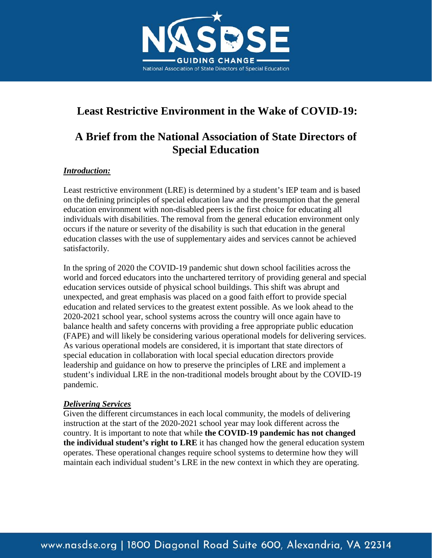

## **Least Restrictive Environment in the Wake of COVID-19:**

## **A Brief from the National Association of State Directors of Special Education**

## *Introduction:*

Least restrictive environment (LRE) is determined by a student's IEP team and is based on the defining principles of special education law and the presumption that the general education environment with non-disabled peers is the first choice for educating all individuals with disabilities. The removal from the general education environment only occurs if the nature or severity of the disability is such that education in the general education classes with the use of supplementary aides and services cannot be achieved satisfactorily.

In the spring of 2020 the COVID-19 pandemic shut down school facilities across the world and forced educators into the unchartered territory of providing general and special education services outside of physical school buildings. This shift was abrupt and unexpected, and great emphasis was placed on a good faith effort to provide special education and related services to the greatest extent possible. As we look ahead to the 2020-2021 school year, school systems across the country will once again have to balance health and safety concerns with providing a free appropriate public education (FAPE) and will likely be considering various operational models for delivering services. As various operational models are considered, it is important that state directors of special education in collaboration with local special education directors provide leadership and guidance on how to preserve the principles of LRE and implement a student's individual LRE in the non-traditional models brought about by the COVID-19 pandemic.

## *Delivering Services*

Given the different circumstances in each local community, the models of delivering instruction at the start of the 2020-2021 school year may look different across the country. It is important to note that while **the COVID-19 pandemic has not changed the individual student's right to LRE** it has changed how the general education system operates. These operational changes require school systems to determine how they will maintain each individual student's LRE in the new context in which they are operating.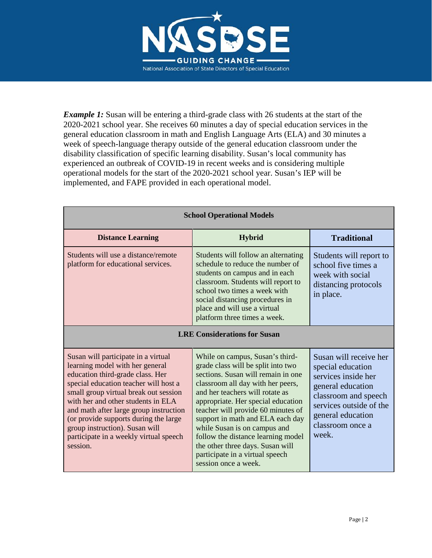

*Example 1*: Susan will be entering a third-grade class with 26 students at the start of the 2020-2021 school year. She receives 60 minutes a day of special education services in the general education classroom in math and English Language Arts (ELA) and 30 minutes a week of speech-language therapy outside of the general education classroom under the disability classification of specific learning disability. Susan's local community has experienced an outbreak of COVID-19 in recent weeks and is considering multiple operational models for the start of the 2020-2021 school year. Susan's IEP will be implemented, and FAPE provided in each operational model.

| <b>School Operational Models</b>                                                                                                                                                                                                                                                                                                                                                                              |                                                                                                                                                                                                                                                                                                                                                                                                                                                                          |                                                                                                                                                                                              |  |
|---------------------------------------------------------------------------------------------------------------------------------------------------------------------------------------------------------------------------------------------------------------------------------------------------------------------------------------------------------------------------------------------------------------|--------------------------------------------------------------------------------------------------------------------------------------------------------------------------------------------------------------------------------------------------------------------------------------------------------------------------------------------------------------------------------------------------------------------------------------------------------------------------|----------------------------------------------------------------------------------------------------------------------------------------------------------------------------------------------|--|
| <b>Distance Learning</b>                                                                                                                                                                                                                                                                                                                                                                                      | <b>Hybrid</b>                                                                                                                                                                                                                                                                                                                                                                                                                                                            | <b>Traditional</b>                                                                                                                                                                           |  |
| Students will use a distance/remote<br>platform for educational services.                                                                                                                                                                                                                                                                                                                                     | Students will follow an alternating<br>schedule to reduce the number of<br>students on campus and in each<br>classroom. Students will report to<br>school two times a week with<br>social distancing procedures in<br>place and will use a virtual<br>platform three times a week.                                                                                                                                                                                       | Students will report to<br>school five times a<br>week with social<br>distancing protocols<br>in place.                                                                                      |  |
| <b>LRE Considerations for Susan</b>                                                                                                                                                                                                                                                                                                                                                                           |                                                                                                                                                                                                                                                                                                                                                                                                                                                                          |                                                                                                                                                                                              |  |
| Susan will participate in a virtual<br>learning model with her general<br>education third-grade class. Her<br>special education teacher will host a<br>small group virtual break out session<br>with her and other students in ELA<br>and math after large group instruction<br>(or provide supports during the large<br>group instruction). Susan will<br>participate in a weekly virtual speech<br>session. | While on campus, Susan's third-<br>grade class will be split into two<br>sections. Susan will remain in one<br>classroom all day with her peers,<br>and her teachers will rotate as<br>appropriate. Her special education<br>teacher will provide 60 minutes of<br>support in math and ELA each day<br>while Susan is on campus and<br>follow the distance learning model<br>the other three days. Susan will<br>participate in a virtual speech<br>session once a week. | Susan will receive her<br>special education<br>services inside her<br>general education<br>classroom and speech<br>services outside of the<br>general education<br>classroom once a<br>week. |  |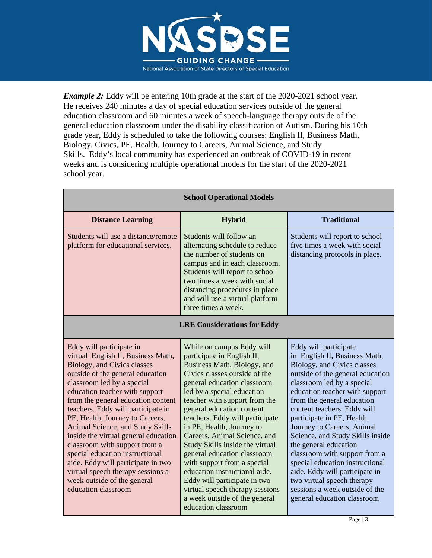

*Example 2:* Eddy will be entering 10th grade at the start of the 2020-2021 school year. He receives 240 minutes a day of special education services outside of the general education classroom and 60 minutes a week of speech-language therapy outside of the general education classroom under the disability classification of Autism. During his 10th grade year, Eddy is scheduled to take the following courses: English II, Business Math, Biology, Civics, PE, Health, Journey to Careers, Animal Science, and Study Skills. Eddy's local community has experienced an outbreak of COVID-19 in recent weeks and is considering multiple operational models for the start of the 2020-2021 school year.

| <b>School Operational Models</b>                                                                                                                                                                                                                                                                                                                                                                                                                                                                                                                                                                          |                                                                                                                                                                                                                                                                                                                                                                                                                                                                                                                                                                                                                 |                                                                                                                                                                                                                                                                                                                                                                                                                                                                                                                                                                                      |  |
|-----------------------------------------------------------------------------------------------------------------------------------------------------------------------------------------------------------------------------------------------------------------------------------------------------------------------------------------------------------------------------------------------------------------------------------------------------------------------------------------------------------------------------------------------------------------------------------------------------------|-----------------------------------------------------------------------------------------------------------------------------------------------------------------------------------------------------------------------------------------------------------------------------------------------------------------------------------------------------------------------------------------------------------------------------------------------------------------------------------------------------------------------------------------------------------------------------------------------------------------|--------------------------------------------------------------------------------------------------------------------------------------------------------------------------------------------------------------------------------------------------------------------------------------------------------------------------------------------------------------------------------------------------------------------------------------------------------------------------------------------------------------------------------------------------------------------------------------|--|
| <b>Distance Learning</b>                                                                                                                                                                                                                                                                                                                                                                                                                                                                                                                                                                                  | <b>Hybrid</b>                                                                                                                                                                                                                                                                                                                                                                                                                                                                                                                                                                                                   | <b>Traditional</b>                                                                                                                                                                                                                                                                                                                                                                                                                                                                                                                                                                   |  |
| Students will use a distance/remote<br>platform for educational services.                                                                                                                                                                                                                                                                                                                                                                                                                                                                                                                                 | Students will follow an<br>alternating schedule to reduce<br>the number of students on<br>campus and in each classroom.<br>Students will report to school<br>two times a week with social<br>distancing procedures in place<br>and will use a virtual platform<br>three times a week.                                                                                                                                                                                                                                                                                                                           | Students will report to school<br>five times a week with social<br>distancing protocols in place.                                                                                                                                                                                                                                                                                                                                                                                                                                                                                    |  |
| <b>LRE Considerations for Eddy</b>                                                                                                                                                                                                                                                                                                                                                                                                                                                                                                                                                                        |                                                                                                                                                                                                                                                                                                                                                                                                                                                                                                                                                                                                                 |                                                                                                                                                                                                                                                                                                                                                                                                                                                                                                                                                                                      |  |
| Eddy will participate in<br>virtual English II, Business Math,<br><b>Biology</b> , and Civics classes<br>outside of the general education<br>classroom led by a special<br>education teacher with support<br>from the general education content<br>teachers. Eddy will participate in<br>PE, Health, Journey to Careers,<br>Animal Science, and Study Skills<br>inside the virtual general education<br>classroom with support from a<br>special education instructional<br>aide. Eddy will participate in two<br>virtual speech therapy sessions a<br>week outside of the general<br>education classroom | While on campus Eddy will<br>participate in English II,<br>Business Math, Biology, and<br>Civics classes outside of the<br>general education classroom<br>led by a special education<br>teacher with support from the<br>general education content<br>teachers. Eddy will participate<br>in PE, Health, Journey to<br>Careers, Animal Science, and<br>Study Skills inside the virtual<br>general education classroom<br>with support from a special<br>education instructional aide.<br>Eddy will participate in two<br>virtual speech therapy sessions<br>a week outside of the general<br>education classroom | Eddy will participate<br>in English II, Business Math,<br>Biology, and Civics classes<br>outside of the general education<br>classroom led by a special<br>education teacher with support<br>from the general education<br>content teachers. Eddy will<br>participate in PE, Health,<br>Journey to Careers, Animal<br>Science, and Study Skills inside<br>the general education<br>classroom with support from a<br>special education instructional<br>aide. Eddy will participate in<br>two virtual speech therapy<br>sessions a week outside of the<br>general education classroom |  |